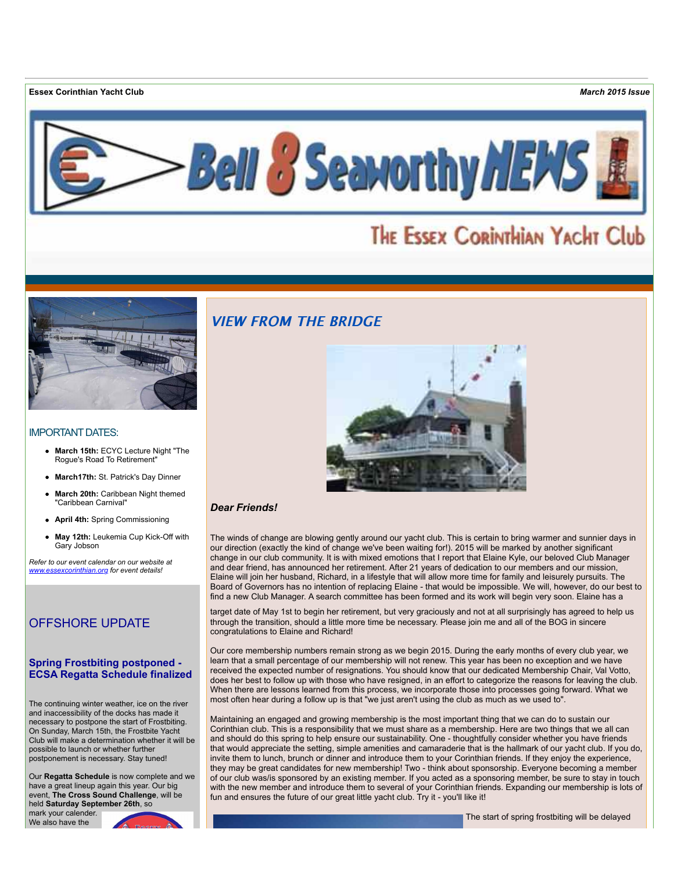**Essex Corinthian Yacht Club** *March 2015 Issue*



# THE ESSEX CORINTHIAN YACHT Club



#### IMPORTANT DATES:

- **March 15th:** ECYC Lecture Night "The Rogue's Road To Retirement"
- **March17th:** St. Patrick's Day Dinner
- **March 20th:** Caribbean Night themed "Caribbean Carnival"
- **April 4th:** Spring Commissioning
- **May 12th:** Leukemia Cup Kick-Off with Gary Jobson

*Refer to our event calendar on our website at [www.essexcorinthian.org](http://r20.rs6.net/tn.jsp?e=001MkxZWO867WjHVIP97aM3Guq6fu2_yQw1NoqXWGYraxFOAUw6dTkMK0rozK5CS7jNxWLIyWRAOxB_83nhhXhp75CZiRYoMsYhHucSJPxIARCryfOGV-W8zQ==) for event details!*

# OFFSHORE UPDATE

### **Spring Frostbiting postponed - ECSA Regatta Schedule finalized**

The continuing winter weather, ice on the river and inaccessibility of the docks has made it necessary to postpone the start of Frostbiting. On Sunday, March 15th, the Frostbite Yacht Club will make a determination whether it will be possible to launch or whether further postponement is necessary. Stay tuned!

Our **Regatta Schedule** is now complete and we have a great lineup again this year. Our big event, **The Cross Sound Challenge**, will be held **Saturday September 26th**, so mark your calender.

We also have the



# **VIEW FROM THE BRIDGE**



#### *Dear Friends!*

The winds of change are blowing gently around our yacht club. This is certain to bring warmer and sunnier days in our direction (exactly the kind of change we've been waiting for!). 2015 will be marked by another significant change in our club community. It is with mixed emotions that I report that Elaine Kyle, our beloved Club Manager and dear friend, has announced her retirement. After 21 years of dedication to our members and our mission, Elaine will join her husband, Richard, in a lifestyle that will allow more time for family and leisurely pursuits. The Board of Governors has no intention of replacing Elaine - that would be impossible. We will, however, do our best to find a new Club Manager. A search committee has been formed and its work will begin very soon. Elaine has a

target date of May 1st to begin her retirement, but very graciously and not at all surprisingly has agreed to help us through the transition, should a little more time be necessary. Please join me and all of the BOG in sincere congratulations to Elaine and Richard!

Our core membership numbers remain strong as we begin 2015. During the early months of every club year, we learn that a small percentage of our membership will not renew. This year has been no exception and we have received the expected number of resignations. You should know that our dedicated Membership Chair, Val Votto, does her best to follow up with those who have resigned, in an effort to categorize the reasons for leaving the club. When there are lessons learned from this process, we incorporate those into processes going forward. What we most often hear during a follow up is that "we just aren't using the club as much as we used to".

Maintaining an engaged and growing membership is the most important thing that we can do to sustain our Corinthian club. This is a responsibility that we must share as a membership. Here are two things that we all can and should do this spring to help ensure our sustainability. One - thoughtfully consider whether you have friends that would appreciate the setting, simple amenities and camaraderie that is the hallmark of our yacht club. If you do, invite them to lunch, brunch or dinner and introduce them to your Corinthian friends. If they enjoy the experience, they may be great candidates for new membership! Two - think about sponsorship. Everyone becoming a member of our club was/is sponsored by an existing member. If you acted as a sponsoring member, be sure to stay in touch with the new member and introduce them to several of your Corinthian friends. Expanding our membership is lots of fun and ensures the future of our great little yacht club. Try it - you'll like it!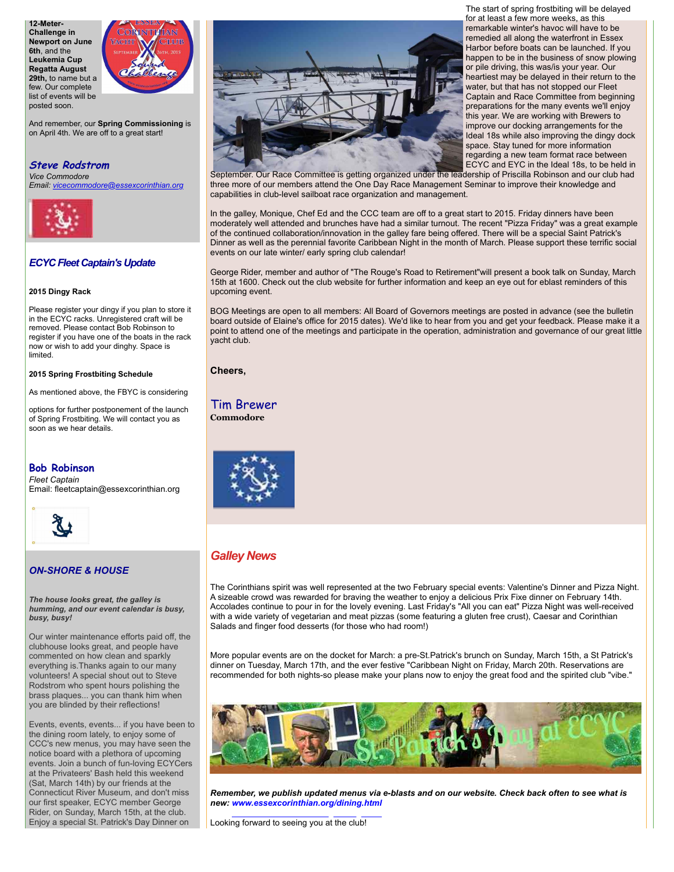**12-Meter-Challenge in Newport on June 6th**, and the **Leukemia Cup Regatta August 29th,** to name but a few. Our complete list of events will be posted soon.



And remember, our **Spring Commissioning** is on April 4th. We are off to a great start!

# **Steve Rodstrom** *Vice Commodore*

*Email: [vicecommodore@essexcorinthian.org](mailto:vicecommodore@essexcorinthian.org)*



### *ECYC Fleet Captain's Update*

#### **2015 Dingy Rack**

Please register your dingy if you plan to store it in the ECYC racks. Unregistered craft will be removed. Please contact Bob Robinson to register if you have one of the boats in the rack now or wish to add your dinghy. Space is limited.

**2015 Spring Frostbiting Schedule**

As mentioned above, the FBYC is considering

options for further postponement of the launch of Spring Frostbiting. We will contact you as soon as we hear details.

### **Bob Robinson**

*Fleet Captain* Email: fleetcaptain@essexcorinthian.org



# *ON-SHORE & HOUSE*

*The house looks great, the galley is humming, and our event calendar is busy, busy, busy!*

Our winter maintenance efforts paid off, the clubhouse looks great, and people have commented on how clean and sparkly everything is.Thanks again to our many volunteers! A special shout out to Steve Rodstrom who spent hours polishing the brass plaques... you can thank him when you are blinded by their reflections!

Events, events, events... if you have been to the dining room lately, to enjoy some of CCC's new menus, you may have seen the notice board with a plethora of upcoming events. Join a bunch of fun-loving ECYCers at the Privateers' Bash held this weekend (Sat, March 14th) by our friends at the Connecticut River Museum, and don't miss our first speaker, ECYC member George Rider, on Sunday, March 15th, at the club. Enjoy a special St. Patrick's Day Dinner on



The start of spring frostbiting will be delayed for at least a few more weeks, as this remarkable winter's havoc will have to be remedied all along the waterfront in Essex Harbor before boats can be launched. If you happen to be in the business of snow plowing or pile driving, this was/is your year. Our heartiest may be delayed in their return to the water, but that has not stopped our Fleet Captain and Race Committee from beginning preparations for the many events we'll enjoy this year. We are working with Brewers to improve our docking arrangements for the Ideal 18s while also improving the dingy dock space. Stay tuned for more information regarding a new team format race between ECYC and EYC in the Ideal 18s, to be held in

September. Our Race Committee is getting organized under the leadership of Priscilla Robinson and our club had three more of our members attend the One Day Race Management Seminar to improve their knowledge and capabilities in club-level sailboat race organization and management.

In the galley, Monique, Chef Ed and the CCC team are off to a great start to 2015. Friday dinners have been moderately well attended and brunches have had a similar turnout. The recent "Pizza Friday" was a great example of the continued collaboration/innovation in the galley fare being offered. There will be a special Saint Patrick's Dinner as well as the perennial favorite Caribbean Night in the month of March. Please support these terrific social events on our late winter/ early spring club calendar!

George Rider, member and author of "The Rouge's Road to Retirement"will present a book talk on Sunday, March 15th at 1600. Check out the club website for further information and keep an eye out for eblast reminders of this upcoming event.

BOG Meetings are open to all members: All Board of Governors meetings are posted in advance (see the bulletin board outside of Elaine's office for 2015 dates). We'd like to hear from you and get your feedback. Please make it a point to attend one of the meetings and participate in the operation, administration and governance of our great little yacht club.

### **Cheers,**

Tim Brewer **Commodore**



# *Galley News*

The Corinthians spirit was well represented at the two February special events: Valentine's Dinner and Pizza Night. A sizeable crowd was rewarded for braving the weather to enjoy a delicious Prix Fixe dinner on February 14th. Accolades continue to pour in for the lovely evening. Last Friday's "All you can eat" Pizza Night was well-received with a wide variety of vegetarian and meat pizzas (some featuring a gluten free crust), Caesar and Corinthian Salads and finger food desserts (for those who had room!)

More popular events are on the docket for March: a pre-St.Patrick's brunch on Sunday, March 15th, a St Patrick's dinner on Tuesday, March 17th, and the ever festive "Caribbean Night on Friday, March 20th. Reservations are recommended for both nights-so please make your plans now to enjoy the great food and the spirited club "vibe."



*Remember, we publish updated menus via e-blasts and on our website. Check back often to see what is new: www.essexcorinthian.org/dining.html*

Looking forward to seeing you at the club!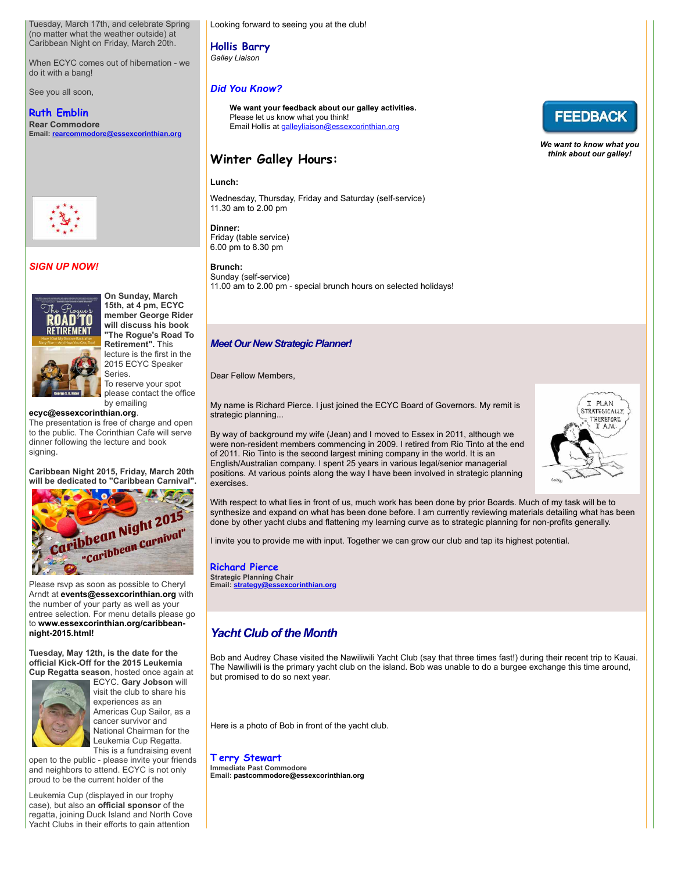Tuesday, March 17th, and celebrate Spring (no matter what the weather outside) at Caribbean Night on Friday, March 20th.

When ECYC comes out of hibernation - we do it with a bang!

See you all soon,

# **Ruth Emblin Rear Commodore**

**Email: [rearcommodore@essexcorinthian.org](mailto:rearcommodore@essexcorinthian.org)**



# *SIGN UP NOW!*



**On Sunday, March 15th, at 4 pm, ECYC member George Rider will discuss his book "The Rogue's Road To Retirement".** This lecture is the first in the 2015 ECYC Speaker Series. To reserve your spot

please contact the office by emailing

### **[ecyc@essexcorinthian.org](mailto:ecyc@essexcorinthian.org)**.

The presentation is free of charge and open to the public. The Corinthian Cafe will serve dinner following the lecture and book signing.

**Caribbean Night 2015, Friday, March 20th will be dedicated to "Caribbean Carnival".**



Please rsvp as soon as possible to Cheryl Arndt at **[events@essexcorinthian.org](mailto:events@essexcorinthian.org)** with the number of your party as well as your entree selection. For menu details please go to **[www.essexcorinthian.org/caribbean](http://r20.rs6.net/tn.jsp?e=001MkxZWO867WjHVIP97aM3Guq6fu2_yQw1NoqXWGYraxFOAUw6dTkMK0rozK5CS7jNxWLIyWRAOxB_83nhhXhp75CZiRYoMsYhHucSJPxIARCGETw5EyO2zKzpLkd82qDGjhnoy8rCC-cEbwqwsw3DJjo9FOmJK5z1)night-2015.html!**

**Tuesday, May 12th, is the date for the official Kick-Off for the 2015 Leukemia Cup Regatta season**, hosted once again at



ECYC. **Gary Jobson** will visit the club to share his experiences as an Americas Cup Sailor, as a cancer survivor and National Chairman for the Leukemia Cup Regatta. This is a fundraising event

open to the public - please invite your friends and neighbors to attend. ECYC is not only proud to be the current holder of the

Leukemia Cup (displayed in our trophy case), but also an **official sponsor** of the regatta, joining Duck Island and North Cove Yacht Clubs in their efforts to gain attention

Looking forward to seeing you at the club!

# **Hollis Barry**

*Galley Liaison*

# *Did You Know?*

**We want your feedback about our galley activities.** Please let us know what you think! Email Hollis at [galleyliaison@essexcorinthian.org](mailto:galleyliaison@essexcorinthian.org)

# **Winter Galley Hours:**

### **Lunch:**

Wednesday, Thursday, Friday and Saturday (self-service) 11.30 am to 2.00 pm

# **Dinner:**

Friday (table service) 6.00 pm to 8.30 pm

# **Brunch:**

Sunday (self-service) 11.00 am to 2.00 pm - special brunch hours on selected holidays!

## *Meet Our New Strategic Planner!*

#### Dear Fellow Members,

My name is Richard Pierce. I just joined the ECYC Board of Governors. My remit is strategic planning...

By way of background my wife (Jean) and I moved to Essex in 2011, although we were non-resident members commencing in 2009. I retired from Rio Tinto at the end of 2011. Rio Tinto is the second largest mining company in the world. It is an English/Australian company. I spent 25 years in various legal/senior managerial positions. At various points along the way I have been involved in strategic planning exercises.

With respect to what lies in front of us, much work has been done by prior Boards. Much of my task will be to synthesize and expand on what has been done before. I am currently reviewing materials detailing what has been done by other yacht clubs and flattening my learning curve as to strategic planning for non-profits generally.

I invite you to provide me with input. Together we can grow our club and tap its highest potential.

#### **Richard Pierce Strategic Planning Chair Email: [strategy@essexcorinthian.org](mailto:strategy@essexcorinthian.org)**

# *Yacht Club of the Month*

Bob and Audrey Chase visited the Nawiliwili Yacht Club (say that three times fast!) during their recent trip to Kauai. The Nawiliwili is the primary yacht club on the island. Bob was unable to do a burgee exchange this time around, but promised to do so next year.

Here is a photo of Bob in front of the yacht club.

**T erry Stewart Immediate Past Commodore Email: [pastcommodore@essexcorinthian.org](mailto:pastcommodore@essexcorinthian.org)**



*We want to know what you think about our galley!*

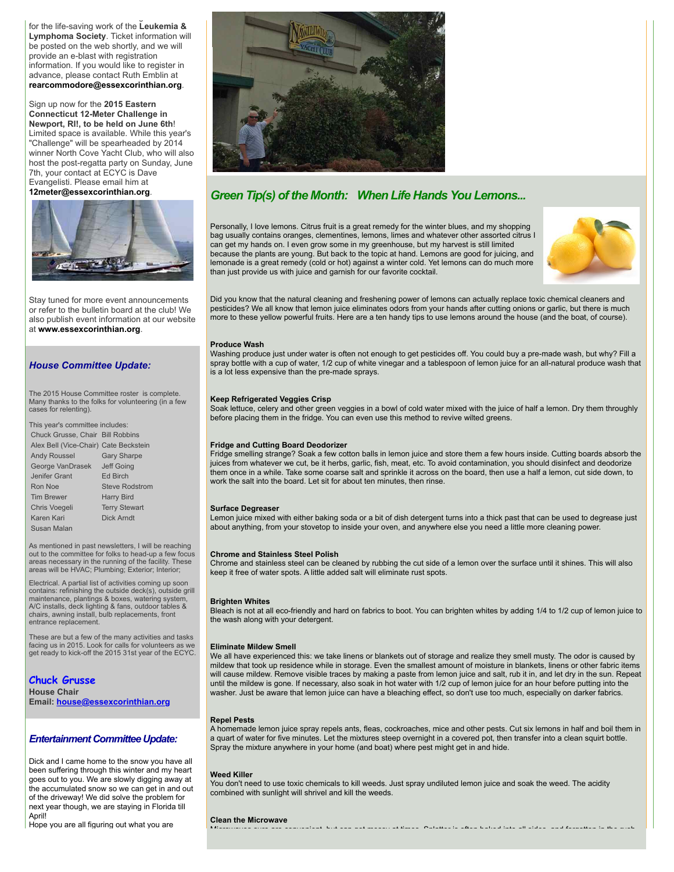Yacht Clubs in their efforts to gain attention for the life-saving work of the **Leukemia & Lymphoma Society**. Ticket information will be posted on the web shortly, and we will provide an e-blast with registration information. If you would like to register in advance, please contact Ruth Emblin at **[rearcommodore@essexcorinthian.org](mailto:rearcommodore@essexcorinthian.org)**.

Sign up now for the **2015 Eastern Connecticut 12-Meter Challenge in Newport, RI!, to be held on June 6th**! Limited space is available. While this year's "Challenge" will be spearheaded by 2014 winner North Cove Yacht Club, who will also host the post-regatta party on Sunday, June 7th, your contact at ECYC is Dave Evangelisti. Please email him at

**[12meter@essexcorinthian.org](mailto:12meter@essexcorinthian.org)**.



Stay tuned for more event announcements or refer to the bulletin board at the club! We also publish event information at our website at **[www.essexcorinthian.org](http://r20.rs6.net/tn.jsp?e=001MkxZWO867WjHVIP97aM3Guq6fu2_yQw1NoqXWGYraxFOAUw6dTkMK0rozK5CS7jNxWLIyWRAOxB_83nhhXhp75CZiRYoMsYhHucSJPxIARCryfOGV-W8zQ==)**.

#### *House Committee Update:*

The 2015 House Committee roster is complete. Many thanks to the folks for volunteering (in a few cases for relenting).

This year's committee includes:

| Chuck Grusse, Chair Bill Robbins      |                       |
|---------------------------------------|-----------------------|
| Alex Bell (Vice-Chair) Cate Beckstein |                       |
| <b>Andy Roussel</b>                   | <b>Gary Sharpe</b>    |
| George VanDrasek                      | Jeff Going            |
| Jenifer Grant                         | <b>Fd Birch</b>       |
| Ron Noe                               | <b>Steve Rodstrom</b> |
| <b>Tim Brewer</b>                     | <b>Harry Bird</b>     |
| Chris Voegeli                         | <b>Terry Stewart</b>  |
| Karen Kari                            | Dick Arndt            |
| Susan Malan                           |                       |

As mentioned in past newsletters, I will be reaching out to the committee for folks to head-up a few focus areas necessary in the running of the facility. These areas will be HVAC; Plumbing; Exterior; Interior;

Electrical. A partial list of activities coming up soon contains: refinishing the outside deck(s), outside grill maintenance, plantings & boxes, watering system, A/C installs, deck lighting & fans, outdoor tables & chairs, awning install, bulb replacements, front entrance replacement.

These are but a few of the many activities and tasks facing us in 2015. Look for calls for volunteers as we get ready to kick-off the 2015 31st year of the ECYC.

**Chuck Grusse**

**House Chair Email: [house@essexcorinthian.org](mailto:house@essexcorinthian.org)**

### *Entertainment Committee Update:*

Dick and I came home to the snow you have all been suffering through this winter and my heart goes out to you. We are slowly digging away at the accumulated snow so we can get in and out of the driveway! We did solve the problem for next year though, we are staying in Florida till Aprill

Hope you are all figuring out what you are



# *Green Tip(s) of the Month: When Life Hands You Lemons...*

Personally, I love lemons. Citrus fruit is a great remedy for the winter blues, and my shopping bag usually contains oranges, clementines, lemons, limes and whatever other assorted citrus I can get my hands on. I even grow some in my greenhouse, but my harvest is still limited because the plants are young. But back to the topic at hand. Lemons are good for juicing, and lemonade is a great remedy (cold or hot) against a winter cold. Yet lemons can do much more than just provide us with juice and garnish for our favorite cocktail.



Did you know that the natural cleaning and freshening power of lemons can actually replace toxic chemical cleaners and pesticides? We all know that lemon juice eliminates odors from your hands after cutting onions or garlic, but there is much more to these yellow powerful fruits. Here are a ten handy tips to use lemons around the house (and the boat, of course).

#### **Produce Wash**

Washing produce just under water is often not enough to get pesticides off. You could buy a pre-made wash, but why? Fill a spray bottle with a cup of water, 1/2 cup of white vinegar and a tablespoon of lemon juice for an all-natural produce wash that is a lot less expensive than the pre-made sprays.

#### **Keep Refrigerated Veggies Crisp**

Soak lettuce, celery and other green veggies in a bowl of cold water mixed with the juice of half a lemon. Dry them throughly before placing them in the fridge. You can even use this method to revive wilted greens.

#### **Fridge and Cutting Board Deodorizer**

Fridge smelling strange? Soak a few cotton balls in lemon juice and store them a few hours inside. Cutting boards absorb the juices from whatever we cut, be it herbs, garlic, fish, meat, etc. To avoid contamination, you should disinfect and deodorize them once in a while. Take some coarse salt and sprinkle it across on the board, then use a half a lemon, cut side down, to work the salt into the board. Let sit for about ten minutes, then rinse.

#### **Surface Degreaser**

Lemon juice mixed with either baking soda or a bit of dish detergent turns into a thick past that can be used to degrease just about anything, from your stovetop to inside your oven, and anywhere else you need a little more cleaning power.

#### **Chrome and Stainless Steel Polish**

Chrome and stainless steel can be cleaned by rubbing the cut side of a lemon over the surface until it shines. This will also keep it free of water spots. A little added salt will eliminate rust spots.

#### **Brighten Whites**

Bleach is not at all eco-friendly and hard on fabrics to boot. You can brighten whites by adding 1/4 to 1/2 cup of lemon juice to the wash along with your detergent.

#### **Eliminate Mildew Smell**

We all have experienced this: we take linens or blankets out of storage and realize they smell musty. The odor is caused by mildew that took up residence while in storage. Even the smallest amount of moisture in blankets, linens or other fabric items will cause mildew. Remove visible traces by making a paste from lemon juice and salt, rub it in, and let dry in the sun. Repeat until the mildew is gone. If necessary, also soak in hot water with 1/2 cup of lemon juice for an hour before putting into the washer. Just be aware that lemon juice can have a bleaching effect, so don't use too much, especially on darker fabrics.

#### **Repel Pests**

A homemade lemon juice spray repels ants, fleas, cockroaches, mice and other pests. Cut six lemons in half and boil them in a quart of water for five minutes. Let the mixtures steep overnight in a covered pot, then transfer into a clean squirt bottle. Spray the mixture anywhere in your home (and boat) where pest might get in and hide.

#### **Weed Killer**

You don't need to use toxic chemicals to kill weeds. Just spray undiluted lemon juice and soak the weed. The acidity combined with sunlight will shrivel and kill the weeds.

Microwaves sure are convenient, but can get messy at times. Splatter is often baked into all sides, and forgotten in the rush

#### **Clean the Microwave**